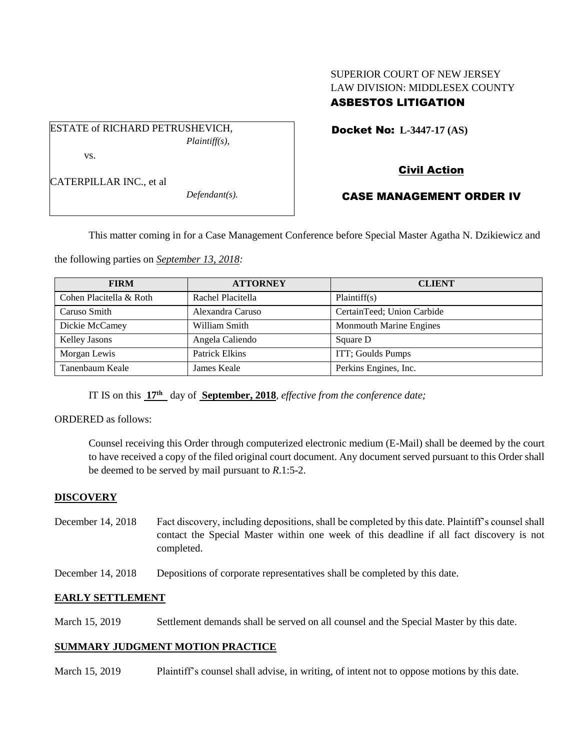# SUPERIOR COURT OF NEW JERSEY LAW DIVISION: MIDDLESEX COUNTY ASBESTOS LITIGATION

Docket No: **L-3447-17 (AS)** 

ESTATE of RICHARD PETRUSHEVICH, *Plaintiff(s),*

vs.

CATERPILLAR INC., et al

*Defendant(s).*

# Civil Action

# CASE MANAGEMENT ORDER IV

This matter coming in for a Case Management Conference before Special Master Agatha N. Dzikiewicz and

the following parties on *September 13, 2018:*

| <b>FIRM</b>             | <b>ATTORNEY</b>       | <b>CLIENT</b>                  |
|-------------------------|-----------------------|--------------------------------|
| Cohen Placitella & Roth | Rachel Placitella     | Plaintiff(s)                   |
| Caruso Smith            | Alexandra Caruso      | CertainTeed; Union Carbide     |
| Dickie McCamey          | William Smith         | <b>Monmouth Marine Engines</b> |
| <b>Kelley Jasons</b>    | Angela Caliendo       | Square D                       |
| Morgan Lewis            | <b>Patrick Elkins</b> | ITT; Goulds Pumps              |
| Tanenbaum Keale         | James Keale           | Perkins Engines, Inc.          |

IT IS on this **17th** day of **September, 2018**, *effective from the conference date;*

ORDERED as follows:

Counsel receiving this Order through computerized electronic medium (E-Mail) shall be deemed by the court to have received a copy of the filed original court document. Any document served pursuant to this Order shall be deemed to be served by mail pursuant to *R*.1:5-2.

## **DISCOVERY**

- December 14, 2018 Fact discovery, including depositions, shall be completed by this date. Plaintiff's counsel shall contact the Special Master within one week of this deadline if all fact discovery is not completed.
- December 14, 2018 Depositions of corporate representatives shall be completed by this date.

## **EARLY SETTLEMENT**

March 15, 2019 Settlement demands shall be served on all counsel and the Special Master by this date.

## **SUMMARY JUDGMENT MOTION PRACTICE**

March 15, 2019 Plaintiff's counsel shall advise, in writing, of intent not to oppose motions by this date.